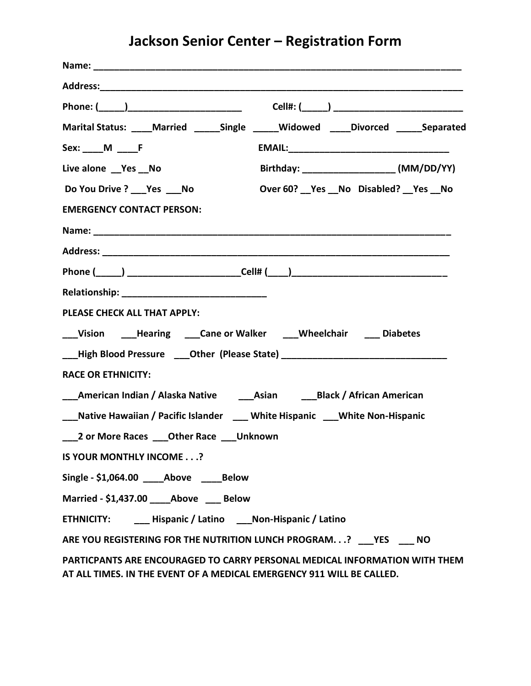## **Jackson Senior Center – Registration Form**

| Marital Status: ____Married _____Single _____Widowed ____Divorced _____Separated                                                                    |
|-----------------------------------------------------------------------------------------------------------------------------------------------------|
| Sex: M F                                                                                                                                            |
| Live alone __Yes __No                                                                                                                               |
| Do You Drive ? ___ Yes ___ No<br>Over 60? __ Yes __ No Disabled? __ Yes __ No                                                                       |
| <b>EMERGENCY CONTACT PERSON:</b>                                                                                                                    |
|                                                                                                                                                     |
|                                                                                                                                                     |
| Phone (_____) __________________________Cell# (____) ____________________________                                                                   |
|                                                                                                                                                     |
| PLEASE CHECK ALL THAT APPLY:                                                                                                                        |
| __Vision ___Hearing ___Cane or Walker ___Wheelchair ___ Diabetes                                                                                    |
| Land Blood Pressure 20ther (Please State) 2010 2020 2020 2021 2022 2023 2024 2022 2022 2023 2024 2022 2023 20                                       |
| <b>RACE OR ETHNICITY:</b>                                                                                                                           |
| ___American Indian / Alaska Native _______________________________Black / African American                                                          |
| __Native Hawaiian / Pacific Islander ___ White Hispanic ___ White Non-Hispanic                                                                      |
| ___2 or More Races ____ Other Race ____ Unknown                                                                                                     |
| IS YOUR MONTHLY INCOME?                                                                                                                             |
| Single - \$1,064.00 Above Below                                                                                                                     |
| Married - \$1,437.00 Above Below                                                                                                                    |
| ETHNICITY: _______ Hispanic / Latino _____ Non-Hispanic / Latino                                                                                    |
| ARE YOU REGISTERING FOR THE NUTRITION LUNCH PROGRAM? YES NO                                                                                         |
| PARTICPANTS ARE ENCOURAGED TO CARRY PERSONAL MEDICAL INFORMATION WITH THEM<br>AT ALL TIMES. IN THE EVENT OF A MEDICAL EMERGENCY 911 WILL BE CALLED. |